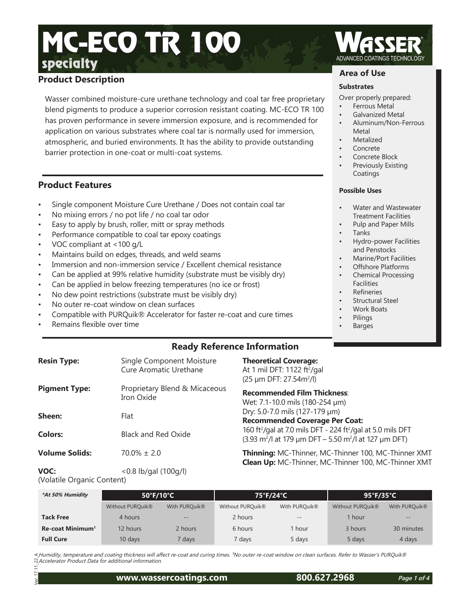# specialty MC-ECO TR 100

# **Product Description**

Wasser combined moisture-cure urethane technology and coal tar free proprietary blend pigments to produce a superior corrosion resistant coating. MC-ECO TR 100 has proven performance in severe immersion exposure, and is recommended for application on various substrates where coal tar is normally used for immersion, atmospheric, and buried environments. It has the ability to provide outstanding barrier protection in one-coat or multi-coat systems.

# **Product Features**

- Single component Moisture Cure Urethane / Does not contain coal tar
- No mixing errors / no pot life / no coal tar odor
- Easy to apply by brush, roller, mitt or spray methods
- Performance compatible to coal tar epoxy coatings
- VOC compliant at <100 g/L
- Maintains build on edges, threads, and weld seams
- Immersion and non-immersion service / Excellent chemical resistance
- Can be applied at 99% relative humidity (substrate must be visibly dry)
- Can be applied in below freezing temperatures (no ice or frost)
- No dew point restrictions (substrate must be visibly dry)
- No outer re-coat window on clean surfaces
- Compatible with PURQuik® Accelerator for faster re-coat and cure times
- Remains flexible over time

# **Area of Use**

#### **Substrates**

- Over properly prepared:
- Ferrous Metal
- Galvanized Metal
- Aluminum/Non-Ferrous Metal
- **Metalized**
- **Concrete**
- Concrete Block
- Previously Existing Coatings

#### **Possible Uses**

- Water and Wastewater Treatment Facilities
- Pulp and Paper Mills
- Tanks
- Hydro-power Facilities and Penstocks
- Marine/Port Facilities
- Offshore Platforms • Chemical Processing
- **Facilities**
- **Refineries**
- Structural Steel
- Work Boats
- Pilings
- **Barges**

# **Ready Reference Information**

| <b>Resin Type:</b>    | Single Component Moisture<br>Cure Aromatic Urethane | <b>Theoretical Coverage:</b><br>At 1 mil DFT: 1122 ft <sup>2</sup> /gal<br>(25 µm DFT: 27.54m <sup>2</sup> /l)                                                    |
|-----------------------|-----------------------------------------------------|-------------------------------------------------------------------------------------------------------------------------------------------------------------------|
| <b>Pigment Type:</b>  | Proprietary Blend & Micaceous<br>Iron Oxide         | <b>Recommended Film Thickness:</b><br>Wet: 7.1-10.0 mils (180-254 µm)                                                                                             |
| Sheen:                | Flat                                                | Dry: 5.0-7.0 mils (127-179 µm)<br><b>Recommended Coverage Per Coat:</b>                                                                                           |
| <b>Colors:</b>        | <b>Black and Red Oxide</b>                          | 160 ft <sup>2</sup> /gal at 7.0 mils DFT - 224 ft <sup>2</sup> /gal at 5.0 mils DFT<br>$(3.93 \text{ m}^2)$ at 179 µm DFT – 5.50 m <sup>2</sup> /l at 127 µm DFT) |
| <b>Volume Solids:</b> | $70.0\% \pm 2.0$                                    | Thinning: MC-Thinner, MC-Thinner 100, MC-Thinner XMT<br>Clean Up: MC-Thinner, MC-Thinner 100, MC-Thinner XMT                                                      |
| $\sqrt{2}$            |                                                     |                                                                                                                                                                   |

**VOC:** <0.8 lb/gal (100g/l) (Volatile Organic Content)

| *At 50% Humidity             | $50^{\circ}$ F/10 $^{\circ}$ C |                   | 75°F/24°C        |               | 95°F/35°C        |                           |
|------------------------------|--------------------------------|-------------------|------------------|---------------|------------------|---------------------------|
|                              | Without PURQuik <sup>®</sup>   | With PURQuik®     | Without PURQuik® | With PURQuik® | Without PURQuik® | With PURQuik <sup>®</sup> |
| <b>Tack Free</b>             | 4 hours                        | $\qquad \qquad -$ | 2 hours          | $- -$         | 1 hour           | $\qquad \qquad -$         |
| Re-coat Minimum <sup>1</sup> | 12 hours                       | 2 hours           | 6 hours          | hour          | 3 hours          | 30 minutes                |
| <b>Full Cure</b>             | 10 days                        | ' days            | 7 days           | 5 days        | 5 days           | 4 days                    |

< Humidity, temperature and coating thickness will affect re-coat and curing times. <sup>1</sup>No outer re-coat window on clean surfaces. Refer to Wasser's PURQuik® Accelerator Product Data for additional information.

# **www.wassercoatings.com 800.627.2968**

Ver. 17.11\_22\_A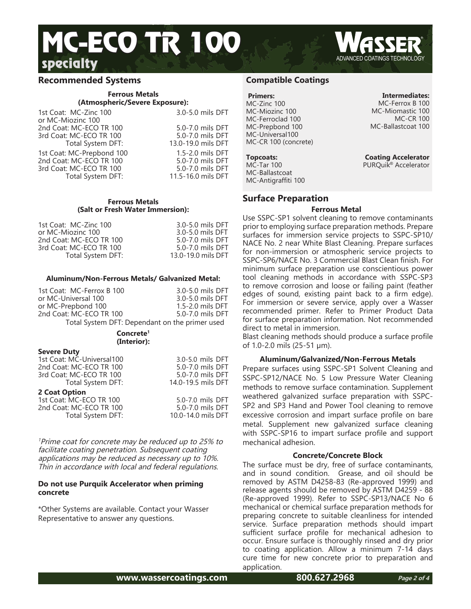# specialty MC-ECO TR 100

# **Recommended Systems**

#### **Ferrous Metals (Atmospheric/Severe Exposure):**

1st Coat: MC-Zinc 100 3.0-5.0 mils DFT or MC-Miozinc 100 2nd Coat: MC-ECO TR 100 5.0-7.0 mils DFT<br>3rd Coat: MC-ECO TR 100 5.0-7.0 mils DFT 3rd Coat: MC-ECO TR 100 Total System DFT: 13.0-19.0 mils DFT 1st Coat: MC-Prepbond 100 1.5-2.0 mils DFT<br>2nd Coat: MC-ECO TR 100 5.0-7.0 mils DFT 2nd Coat: MC-ECO TR 100 5.0-7.0 mils DFT<br>3rd Coat: MC-ECO TR 100 5.0-7.0 mils DFT 3rd Coat: MC-ECO TR 100<br>Total System DFT:

11.5-16.0 mils DFT

#### **Ferrous Metals (Salt or Fresh Water Immersion):**

1st Coat: MC-Zinc 100 3.0-5.0 mils DFT<br>or MC-Miozinc 100 3.0-5.0 mils DFT or MC-Miozinc 100 3.0-5.0 mils DFT<br>2nd Coat: MC-ECO TR 100 3.0-7.0 mils DFT 2nd Coat: MC-ECO TR 100 3rd Coat: MC-ECO TR 100 5.0-7.0 mils DFT<br>Total System DFT: 13.0-19.0 mils DFT Total System DFT:

### **Aluminum/Non-Ferrous Metals/ Galvanized Metal:**

| Concrete <sup>1</sup>                          |                  |  |
|------------------------------------------------|------------------|--|
| Total System DFT: Dependant on the primer used |                  |  |
| 2nd Coat: MC-ECO TR 100                        | 5.0-7.0 mils DFT |  |
| or MC-Prepbond 100                             | 1.5-2.0 mils DFT |  |
| or MC-Universal 100                            | 3.0-5.0 mils DFT |  |
| 1st Coat: MC-Ferrox B 100                      | 3.0-5.0 mils DFT |  |
|                                                |                  |  |

#### **(Interior):**

| <b>Severe Duty</b>        |                    |
|---------------------------|--------------------|
| 1st Coat: MC-Universal100 | 3.0-5.0 mils DFT   |
| 2nd Coat: MC-ECO TR 100   | 5.0-7.0 mils DFT   |
| 3rd Coat: MC-ECO TR 100   | 5.0-7.0 mils DFT   |
| Total System DFT:         | 14.0-19.5 mils DFT |
| 2 Coat Option             |                    |
| 1st Coat: MC-ECO TR 100   | 5.0-7.0 mils DFT   |
| 2nd Coat: MC-ECO TR 100   | 5.0-7.0 mils DFT   |
| Total System DFT:         | 10.0-14.0 mils DFT |

<sup>1</sup>Prime coat for concrete may be reduced up to 25% to facilitate coating penetration. Subsequent coating applications may be reduced as necessary up to 10%. Thin in accordance with local and federal regulations.

#### **Do not use Purquik Accelerator when priming concrete**

\*Other Systems are available. Contact your Wasser Representative to answer any questions.

# **Compatible Coatings**

# **Primers:**

MC-Zinc 100 MC-Miozinc 100 MC-Ferroclad 100 MC-Prepbond 100 MC-Universal100 MC-CR 100 (concrete)

# **Topcoats:**

MC-Tar 100 MC-Ballastcoat MC-Antigraffiti 100

# **Surface Preparation**

### **Ferrous Metal**

Use SSPC-SP1 solvent cleaning to remove contaminants prior to employing surface preparation methods. Prepare surfaces for immersion service projects to SSPC-SP10/ NACE No. 2 near White Blast Cleaning. Prepare surfaces for non-immersion or atmospheric service projects to SSPC-SP6/NACE No. 3 Commercial Blast Clean finish. For minimum surface preparation use conscientious power tool cleaning methods in accordance with SSPC-SP3 to remove corrosion and loose or failing paint (feather edges of sound, existing paint back to a firm edge). For immersion or severe service, apply over a Wasser recommended primer. Refer to Primer Product Data for surface preparation information. Not recommended direct to metal in immersion.

Blast cleaning methods should produce a surface profile of 1.0-2.0 mils (25-51 µm).

# **Aluminum/Galvanized/Non-Ferrous Metals**

Prepare surfaces using SSPC-SP1 Solvent Cleaning and SSPC-SP12/NACE No. 5 Low Pressure Water Cleaning methods to remove surface contamination. Supplement weathered galvanized surface preparation with SSPC-SP2 and SP3 Hand and Power Tool cleaning to remove excessive corrosion and impart surface profile on bare metal. Supplement new galvanized surface cleaning with SSPC-SP16 to impart surface profile and support mechanical adhesion.

#### **Concrete/Concrete Block**

The surface must be dry, free of surface contaminants, and in sound condition. Grease, and oil should be removed by ASTM D4258-83 (Re-approved 1999) and release agents should be removed by ASTM D4259 - 88 (Re-approved 1999). Refer to SSPC-SP13/NACE No 6 mechanical or chemical surface preparation methods for preparing concrete to suitable cleanliness for intended service. Surface preparation methods should impart sufficient surface profile for mechanical adhesion to occur. Ensure surface is thoroughly rinsed and dry prior to coating application. Allow a minimum 7-14 days cure time for new concrete prior to preparation and application.

**Intermediates:**

MC-Ferrox B 100 MC-Miomastic 100 MC-CR 100 MC-Ballastcoat 100

**Coating Accelerator** PURQuik<sup>®</sup> Accelerator

**www.wassercoatings.com 800.627.2968**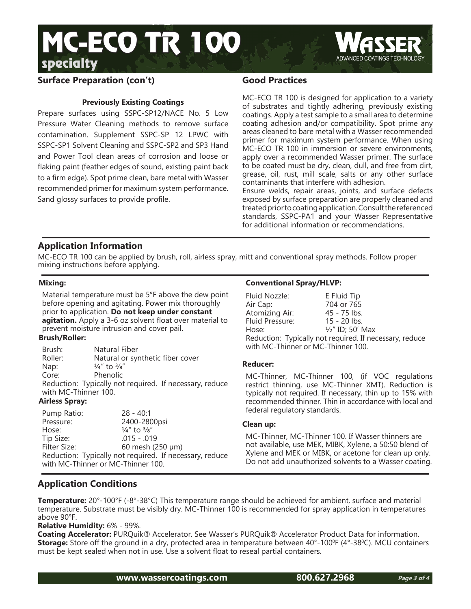



# **Surface Preparation (con't)**

# **Previously Existing Coatings**

Prepare surfaces using SSPC-SP12/NACE No. 5 Low Pressure Water Cleaning methods to remove surface contamination. Supplement SSPC-SP 12 LPWC with SSPC-SP1 Solvent Cleaning and SSPC-SP2 and SP3 Hand and Power Tool clean areas of corrosion and loose or flaking paint (feather edges of sound, existing paint back to a firm edge). Spot prime clean, bare metal with Wasser recommended primer for maximum system performance. Sand glossy surfaces to provide profile.

# **Good Practices**

MC-ECO TR 100 is designed for application to a variety of substrates and tightly adhering, previously existing coatings. Apply a test sample to a small area to determine coating adhesion and/or compatibility. Spot prime any areas cleaned to bare metal with a Wasser recommended primer for maximum system performance. When using MC-ECO TR 100 in immersion or severe environments, apply over a recommended Wasser primer. The surface to be coated must be dry, clean, dull, and free from dirt, grease, oil, rust, mill scale, salts or any other surface contaminants that interfere with adhesion.

Ensure welds, repair areas, joints, and surface defects exposed by surface preparation are properly cleaned and treated prior to coating application. Consult the referenced standards, SSPC-PA1 and your Wasser Representative for additional information or recommendations.

# **Application Information**

MC-ECO TR 100 can be applied by brush, roll, airless spray, mitt and conventional spray methods. Follow proper mixing instructions before applying.

### **Mixing:**

Material temperature must be 5°F above the dew point before opening and agitating. Power mix thoroughly prior to application. **Do not keep under constant agitation.** Apply a 3-6 oz solvent float over material to prevent moisture intrusion and cover pail.

#### **Brush/Roller:**

| Brush:                                                  | Natural Fiber                      |  |
|---------------------------------------------------------|------------------------------------|--|
| Roller:                                                 | Natural or synthetic fiber cover   |  |
| Nap:                                                    | $\frac{1}{4}$ " to $\frac{3}{8}$ " |  |
| Core:                                                   | Phenolic                           |  |
| Reduction: Typically not required. If necessary, reduce |                                    |  |
| with MC-Thinner 100.                                    |                                    |  |

# **Airless Spray:**

| Pump Ratio:                                             | $28 - 40:1$                        |  |
|---------------------------------------------------------|------------------------------------|--|
| Pressure:                                               | 2400-2800psi                       |  |
| Hose:                                                   | $\frac{1}{4}$ " to $\frac{3}{8}$ " |  |
| Tip Size:                                               | $.015 - .019$                      |  |
| Filter Size:                                            | 60 mesh (250 µm)                   |  |
| Reduction: Typically not required. If necessary, reduce |                                    |  |
| with MC-Thinner or MC-Thinner 100.                      |                                    |  |

### **Conventional Spray/HLVP:**

| Fluid Nozzle:                                           | E Fluid Tip                 |  |
|---------------------------------------------------------|-----------------------------|--|
| Air Cap:                                                | 704 or 765                  |  |
| Atomizing Air:                                          | $45 - 75$ lbs.              |  |
| Fluid Pressure:                                         | $15 - 20$ lbs.              |  |
| Hose:                                                   | $\frac{1}{2}$ " ID; 50' Max |  |
| Reduction: Typically not required. If necessary, reduce |                             |  |
| with MC-Thinner or MC-Thinner 100.                      |                             |  |

#### **Reducer:**

MC-Thinner, MC-Thinner 100, (if VOC regulations restrict thinning, use MC-Thinner XMT). Reduction is typically not required. If necessary, thin up to 15% with recommended thinner. Thin in accordance with local and federal regulatory standards.

#### **Clean up:**

MC-Thinner, MC-Thinner 100. If Wasser thinners are not available, use MEK, MIBK, Xylene, a 50:50 blend of Xylene and MEK or MIBK, or acetone for clean up only. Do not add unauthorized solvents to a Wasser coating.

# **Application Conditions**

**Temperature:** 20°-100°F (-8°-38°C) This temperature range should be achieved for ambient, surface and material temperature. Substrate must be visibly dry. MC-Thinner 100 is recommended for spray application in temperatures above 90°F.

**Relative Humidity:** 6% - 99%.

**Coating Accelerator:** PURQuik® Accelerator. See Wasser's PURQuik® Accelerator Product Data for information. **Storage:** Store off the ground in a dry, protected area in temperature between 40°-100°F (4°-38°C). MCU containers must be kept sealed when not in use. Use a solvent float to reseal partial containers.